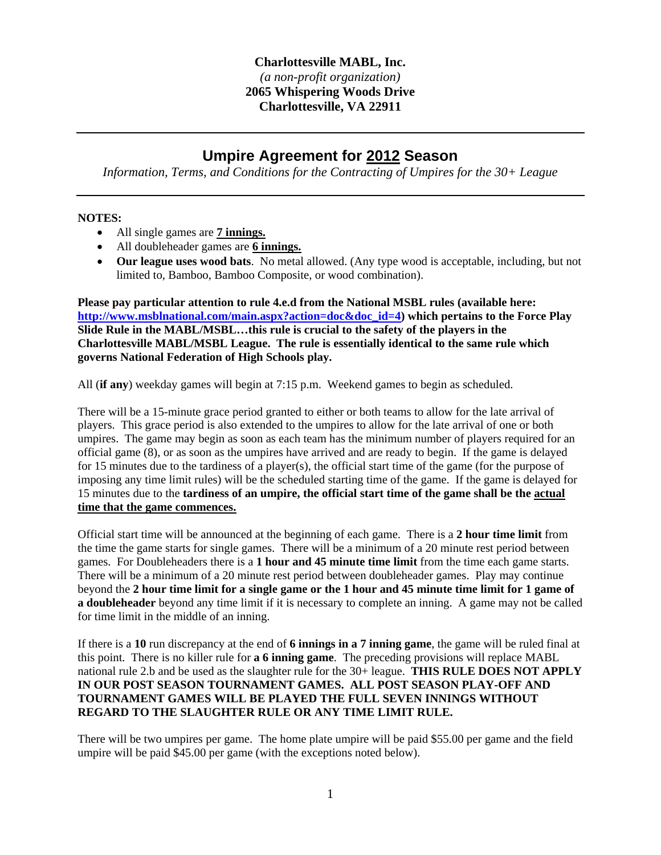## **Charlottesville MABL, Inc.**   *(a non-profit organization)*  **2065 Whispering Woods Drive Charlottesville, VA 22911**

## **Umpire Agreement for 2012 Season**

*Information, Terms, and Conditions for the Contracting of Umpires for the 30+ League* 

## **NOTES:**

- All single games are **7 innings.**
- All doubleheader games are **6 innings.**
- **Our league uses wood bats**. No metal allowed. (Any type wood is acceptable, including, but not limited to, Bamboo, Bamboo Composite, or wood combination).

**Please pay particular attention to rule 4.e.d from the National MSBL rules (available here: http://www.msblnational.com/main.aspx?action=doc&doc\_id=4) which pertains to the Force Play Slide Rule in the MABL/MSBL…this rule is crucial to the safety of the players in the Charlottesville MABL/MSBL League. The rule is essentially identical to the same rule which governs National Federation of High Schools play.** 

All (**if any**) weekday games will begin at 7:15 p.m. Weekend games to begin as scheduled.

There will be a 15-minute grace period granted to either or both teams to allow for the late arrival of players. This grace period is also extended to the umpires to allow for the late arrival of one or both umpires. The game may begin as soon as each team has the minimum number of players required for an official game (8), or as soon as the umpires have arrived and are ready to begin. If the game is delayed for 15 minutes due to the tardiness of a player(s), the official start time of the game (for the purpose of imposing any time limit rules) will be the scheduled starting time of the game. If the game is delayed for 15 minutes due to the **tardiness of an umpire, the official start time of the game shall be the actual time that the game commences.** 

Official start time will be announced at the beginning of each game. There is a **2 hour time limit** from the time the game starts for single games. There will be a minimum of a 20 minute rest period between games. For Doubleheaders there is a **1 hour and 45 minute time limit** from the time each game starts. There will be a minimum of a 20 minute rest period between doubleheader games. Play may continue beyond the **2 hour time limit for a single game or the 1 hour and 45 minute time limit for 1 game of a doubleheader** beyond any time limit if it is necessary to complete an inning. A game may not be called for time limit in the middle of an inning.

If there is a **10** run discrepancy at the end of **6 innings in a 7 inning game**, the game will be ruled final at this point. There is no killer rule for **a 6 inning game**. The preceding provisions will replace MABL national rule 2.b and be used as the slaughter rule for the 30+ league. **THIS RULE DOES NOT APPLY IN OUR POST SEASON TOURNAMENT GAMES. ALL POST SEASON PLAY-OFF AND TOURNAMENT GAMES WILL BE PLAYED THE FULL SEVEN INNINGS WITHOUT REGARD TO THE SLAUGHTER RULE OR ANY TIME LIMIT RULE.** 

There will be two umpires per game. The home plate umpire will be paid \$55.00 per game and the field umpire will be paid \$45.00 per game (with the exceptions noted below).